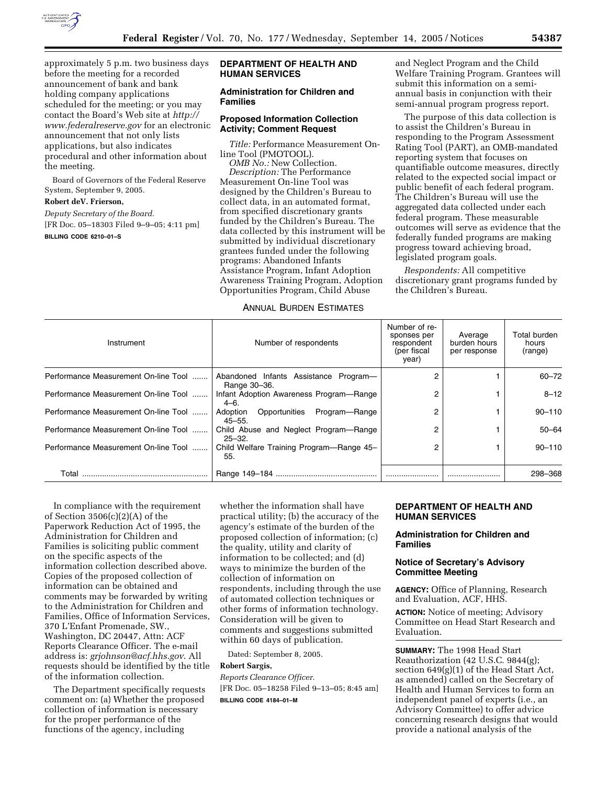

approximately 5 p.m. two business days before the meeting for a recorded announcement of bank and bank holding company applications scheduled for the meeting; or you may contact the Board's Web site at *http:// www.federalreserve.gov* for an electronic

announcement that not only lists applications, but also indicates procedural and other information about the meeting.

Board of Governors of the Federal Reserve System, September 9, 2005.

## **Robert deV. Frierson,**

*Deputy Secretary of the Board.*  [FR Doc. 05–18303 Filed 9–9–05; 4:11 pm] **BILLING CODE 6210–01–S** 

### **DEPARTMENT OF HEALTH AND HUMAN SERVICES**

### **Administration for Children and Families**

### **Proposed Information Collection Activity; Comment Request**

*Title:* Performance Measurement Online Tool (PMOTOOL). *OMB No.:* New Collection.

*Description:* The Performance Measurement On-line Tool was designed by the Children's Bureau to collect data, in an automated format, from specified discretionary grants funded by the Children's Bureau. The data collected by this instrument will be submitted by individual discretionary grantees funded under the following programs: Abandoned Infants Assistance Program, Infant Adoption Awareness Training Program, Adoption Opportunities Program, Child Abuse

### ANNUAL BURDEN ESTIMATES

and Neglect Program and the Child Welfare Training Program. Grantees will submit this information on a semiannual basis in conjunction with their semi-annual program progress report.

The purpose of this data collection is to assist the Children's Bureau in responding to the Program Assessment Rating Tool (PART), an OMB-mandated reporting system that focuses on quantifiable outcome measures, directly related to the expected social impact or public benefit of each federal program. The Children's Bureau will use the aggregated data collected under each federal program. These measurable outcomes will serve as evidence that the federally funded programs are making progress toward achieving broad, legislated program goals.

*Respondents:* All competitive discretionary grant programs funded by the Children's Bureau.

| Instrument                           | Number of respondents                                  | Number of re-<br>sponses per<br>respondent<br>(per fiscal<br>year) | Average<br>burden hours<br>per response | Total burden<br>hours<br>(range) |
|--------------------------------------|--------------------------------------------------------|--------------------------------------------------------------------|-----------------------------------------|----------------------------------|
| Performance Measurement On-line Tool | Abandoned Infants Assistance Program-<br>Range 30-36.  | 2                                                                  |                                         | $60 - 72$                        |
| Performance Measurement On-line Tool | Infant Adoption Awareness Program-Range<br>$4 - 6$ .   | 2                                                                  |                                         | $8 - 12$                         |
| Performance Measurement On-line Tool | Adoption<br>Opportunities Program-Range<br>$45 - 55$ . | 2                                                                  |                                         | $90 - 110$                       |
| Performance Measurement On-line Tool | Child Abuse and Neglect Program-Range<br>$25 - 32.$    | 2                                                                  |                                         | $50 - 64$                        |
| Performance Measurement On-line Tool | Child Welfare Training Program-Range 45-<br>55.        | 2                                                                  |                                         | $90 - 110$                       |
| Total                                |                                                        |                                                                    |                                         | 298-368                          |

In compliance with the requirement of Section 3506(c)(2)(A) of the Paperwork Reduction Act of 1995, the Administration for Children and Families is soliciting public comment on the specific aspects of the information collection described above. Copies of the proposed collection of information can be obtained and comments may be forwarded by writing to the Administration for Children and Families, Office of Information Services, 370 L'Enfant Promenade, SW., Washington, DC 20447, Attn: ACF Reports Clearance Officer. The e-mail address is: *grjohnson@acf.hhs.gov*. All requests should be identified by the title of the information collection.

The Department specifically requests comment on: (a) Whether the proposed collection of information is necessary for the proper performance of the functions of the agency, including

whether the information shall have practical utility; (b) the accuracy of the agency's estimate of the burden of the proposed collection of information; (c) the quality, utility and clarity of information to be collected; and (d) ways to minimize the burden of the collection of information on respondents, including through the use of automated collection techniques or other forms of information technology. Consideration will be given to comments and suggestions submitted within 60 days of publication.

Dated: September 8, 2005.

#### **Robert Sargis,**

*Reports Clearance Officer.*  [FR Doc. 05–18258 Filed 9–13–05; 8:45 am] **BILLING CODE 4184–01–M** 

# **DEPARTMENT OF HEALTH AND HUMAN SERVICES**

### **Administration for Children and Families**

# **Notice of Secretary's Advisory Committee Meeting**

**AGENCY:** Office of Planning, Research and Evaluation, ACF, HHS.

**ACTION:** Notice of meeting; Advisory Committee on Head Start Research and Evaluation.

**SUMMARY:** The 1998 Head Start Reauthorization (42 U.S.C. 9844(g); section 649(g)(1) of the Head Start Act, as amended) called on the Secretary of Health and Human Services to form an independent panel of experts (i.e., an Advisory Committee) to offer advice concerning research designs that would provide a national analysis of the